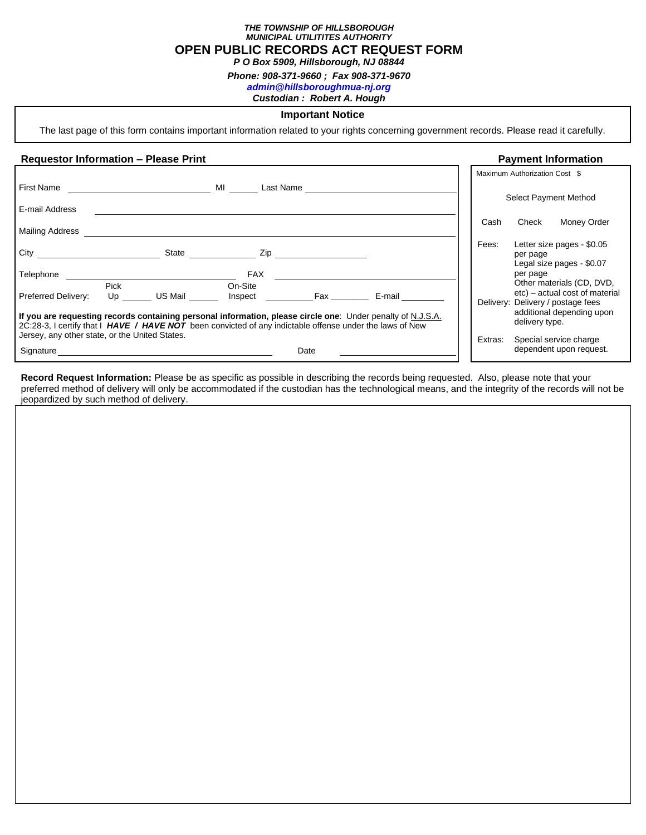*THE TOWNSHIP OF HILLSBOROUGH MUNICIPAL UTILITITES AUTHORITY* **OPEN PUBLIC RECORDS ACT REQUEST FORM**

*P O Box 5909, Hillsborough, NJ 08844*

*Phone: 908-371-9660 ; Fax 908-371-9670*

*[admin@hillsboroughmua-nj.org](mailto:admin@hillsboroughmua-nj.org)*

*Custodian : Robert A. Hough*

#### **Important Notice**

The last page of this form contains important information related to your rights concerning government records. Please read it carefully.

# **Requestor Information – Please Print Payment Information Payment Information**

|                                                                                                                                                                                                                         |            |         |                                  |      |        |         | Maximum Authorization Cost \$                                                    |
|-------------------------------------------------------------------------------------------------------------------------------------------------------------------------------------------------------------------------|------------|---------|----------------------------------|------|--------|---------|----------------------------------------------------------------------------------|
| First Name                                                                                                                                                                                                              |            |         | MI<br>Last Name                  |      |        |         | Select Payment Method                                                            |
| E-mail Address                                                                                                                                                                                                          |            |         |                                  |      |        |         |                                                                                  |
| <b>Mailing Address</b>                                                                                                                                                                                                  |            |         |                                  |      |        | Cash    | Check<br>Money Order                                                             |
| City                                                                                                                                                                                                                    |            | State   | Zip                              |      |        | Fees:   | Letter size pages - \$0.05<br>per page<br>Legal size pages - \$0.07              |
| Telephone<br>Preferred Delivery:                                                                                                                                                                                        | Pick<br>Up | US Mail | <b>FAX</b><br>On-Site<br>Inspect | Fax  | E-mail |         | per page<br>Other materials (CD, DVD,<br>etc) – actual cost of material          |
| If you are requesting records containing personal information, please circle one: Under penalty of N.J.S.A.<br>2C:28-3, I certify that I HAVE / HAVE NOT been convicted of any indictable offense under the laws of New |            |         |                                  |      |        |         | Delivery: Delivery / postage fees<br>additional depending upon<br>delivery type. |
| Jersey, any other state, or the United States.                                                                                                                                                                          |            |         |                                  |      |        | Extras: | Special service charge                                                           |
| Signature                                                                                                                                                                                                               |            |         |                                  | Date |        |         | dependent upon request.                                                          |

**Record Request Information:** Please be as specific as possible in describing the records being requested. Also, please note that your preferred method of delivery will only be accommodated if the custodian has the technological means, and the integrity of the records will not be jeopardized by such method of delivery.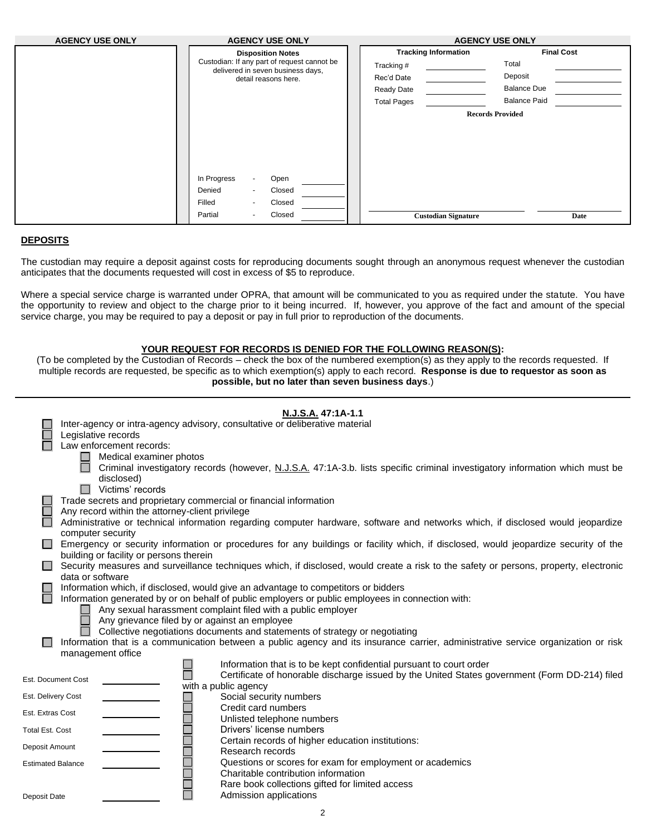| <b>AGENCY USE ONLY</b> | <b>AGENCY USE ONLY</b>                                                                                                                                     | <b>AGENCY USE ONLY</b>      |                         |  |
|------------------------|------------------------------------------------------------------------------------------------------------------------------------------------------------|-----------------------------|-------------------------|--|
|                        | <b>Disposition Notes</b>                                                                                                                                   | <b>Tracking Information</b> | <b>Final Cost</b>       |  |
|                        | Custodian: If any part of request cannot be                                                                                                                | Tracking #                  | Total                   |  |
|                        | delivered in seven business days,<br>detail reasons here.                                                                                                  | Rec'd Date                  | Deposit                 |  |
|                        |                                                                                                                                                            | Ready Date                  | <b>Balance Due</b>      |  |
|                        |                                                                                                                                                            | <b>Total Pages</b>          | <b>Balance Paid</b>     |  |
|                        | In Progress<br>Open<br>Denied<br>Closed<br>$\blacksquare$<br>Filled<br>Closed<br>$\overline{\phantom{a}}$<br>Closed<br>Partial<br>$\overline{\phantom{a}}$ |                             | <b>Records Provided</b> |  |
|                        |                                                                                                                                                            | <b>Custodian Signature</b>  | Date                    |  |

## **DEPOSITS**

The custodian may require a deposit against costs for reproducing documents sought through an anonymous request whenever the custodian anticipates that the documents requested will cost in excess of \$5 to reproduce.

Where a special service charge is warranted under OPRA, that amount will be communicated to you as required under the statute. You have the opportunity to review and object to the charge prior to it being incurred. If, however, you approve of the fact and amount of the special service charge, you may be required to pay a deposit or pay in full prior to reproduction of the documents.

#### **YOUR REQUEST FOR RECORDS IS DENIED FOR THE FOLLOWING REASON(S):**

(To be completed by the Custodian of Records – check the box of the numbered exemption(s) as they apply to the records requested. If multiple records are requested, be specific as to which exemption(s) apply to each record. **Response is due to requestor as soon as possible, but no later than seven business days**.)

|                          | N.J.S.A. 47:1A-1.1                                                                                                                                                             |  |  |  |  |  |  |  |  |
|--------------------------|--------------------------------------------------------------------------------------------------------------------------------------------------------------------------------|--|--|--|--|--|--|--|--|
|                          | Inter-agency or intra-agency advisory, consultative or deliberative material                                                                                                   |  |  |  |  |  |  |  |  |
|                          | Legislative records                                                                                                                                                            |  |  |  |  |  |  |  |  |
|                          | Law enforcement records:                                                                                                                                                       |  |  |  |  |  |  |  |  |
|                          | Medical examiner photos                                                                                                                                                        |  |  |  |  |  |  |  |  |
|                          | Criminal investigatory records (however, N.J.S.A. 47:1A-3.b. lists specific criminal investigatory information which must be<br>disclosed)                                     |  |  |  |  |  |  |  |  |
|                          | Victims' records                                                                                                                                                               |  |  |  |  |  |  |  |  |
|                          | Trade secrets and proprietary commercial or financial information                                                                                                              |  |  |  |  |  |  |  |  |
|                          | Any record within the attorney-client privilege                                                                                                                                |  |  |  |  |  |  |  |  |
|                          | Administrative or technical information regarding computer hardware, software and networks which, if disclosed would jeopardize                                                |  |  |  |  |  |  |  |  |
|                          | computer security                                                                                                                                                              |  |  |  |  |  |  |  |  |
|                          | Emergency or security information or procedures for any buildings or facility which, if disclosed, would jeopardize security of the<br>building or facility or persons therein |  |  |  |  |  |  |  |  |
|                          | Security measures and surveillance techniques which, if disclosed, would create a risk to the safety or persons, property, electronic                                          |  |  |  |  |  |  |  |  |
|                          | data or software                                                                                                                                                               |  |  |  |  |  |  |  |  |
|                          | Information which, if disclosed, would give an advantage to competitors or bidders                                                                                             |  |  |  |  |  |  |  |  |
|                          | Information generated by or on behalf of public employers or public employees in connection with:                                                                              |  |  |  |  |  |  |  |  |
|                          | Any sexual harassment complaint filed with a public employer                                                                                                                   |  |  |  |  |  |  |  |  |
|                          | Any grievance filed by or against an employee                                                                                                                                  |  |  |  |  |  |  |  |  |
|                          | Collective negotiations documents and statements of strategy or negotiating                                                                                                    |  |  |  |  |  |  |  |  |
|                          | Information that is a communication between a public agency and its insurance carrier, administrative service organization or risk                                             |  |  |  |  |  |  |  |  |
|                          | management office                                                                                                                                                              |  |  |  |  |  |  |  |  |
|                          | Information that is to be kept confidential pursuant to court order                                                                                                            |  |  |  |  |  |  |  |  |
| Est. Document Cost       | Certificate of honorable discharge issued by the United States government (Form DD-214) filed                                                                                  |  |  |  |  |  |  |  |  |
|                          | with a public agency                                                                                                                                                           |  |  |  |  |  |  |  |  |
| Est. Delivery Cost       | Social security numbers                                                                                                                                                        |  |  |  |  |  |  |  |  |
| Est. Extras Cost         | Credit card numbers<br>Unlisted telephone numbers                                                                                                                              |  |  |  |  |  |  |  |  |
| <b>Total Est. Cost</b>   | Drivers' license numbers                                                                                                                                                       |  |  |  |  |  |  |  |  |
| Deposit Amount           | Certain records of higher education institutions:                                                                                                                              |  |  |  |  |  |  |  |  |
|                          | Research records                                                                                                                                                               |  |  |  |  |  |  |  |  |
| <b>Estimated Balance</b> | Questions or scores for exam for employment or academics                                                                                                                       |  |  |  |  |  |  |  |  |
|                          | Charitable contribution information                                                                                                                                            |  |  |  |  |  |  |  |  |
|                          | Rare book collections gifted for limited access                                                                                                                                |  |  |  |  |  |  |  |  |
| Deposit Date             | Admission applications                                                                                                                                                         |  |  |  |  |  |  |  |  |
|                          |                                                                                                                                                                                |  |  |  |  |  |  |  |  |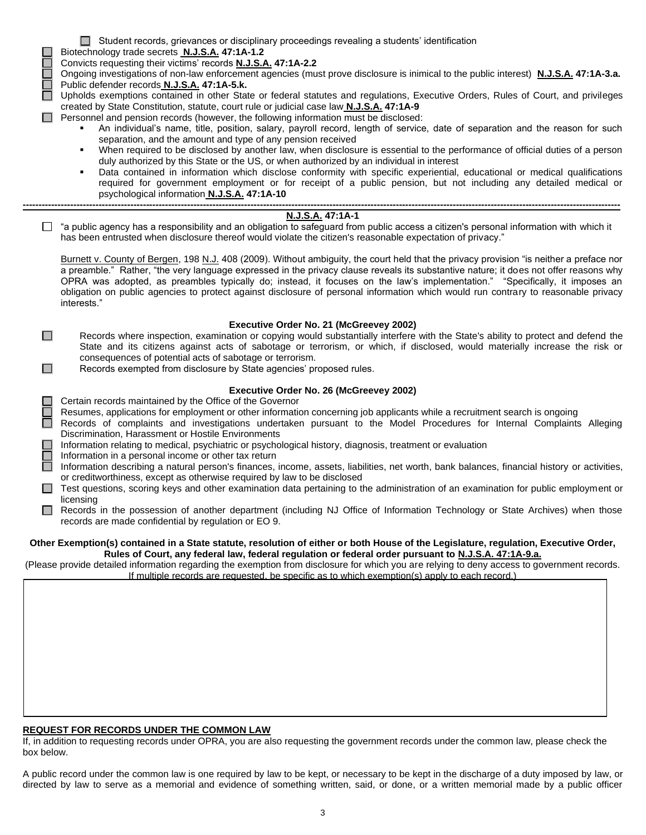- Student records, grievances or disciplinary proceedings revealing a students' identification
- Biotechnology trade secrets **N.J.S.A. 47:1A-1.2**

Convicts requesting their victims' records **N.J.S.A. 47:1A-2.2**

Ongoing investigations of non-law enforcement agencies (must prove disclosure is inimical to the public interest) **N.J.S.A. 47:1A-3.a.** Public defender records **N.J.S.A. 47:1A-5.k.**

□ Upholds exemptions contained in other State or federal statutes and regulations, Executive Orders, Rules of Court, and privileges created by State Constitution, statute, court rule or judicial case law **N.J.S.A. 47:1A-9**

- $\Box$  Personnel and pension records (however, the following information must be disclosed:
	- An individual's name, title, position, salary, payroll record, length of service, date of separation and the reason for such separation, and the amount and type of any pension received
	- When required to be disclosed by another law, when disclosure is essential to the performance of official duties of a person duly authorized by this State or the US, or when authorized by an individual in interest
- Data contained in information which disclose conformity with specific experiential, educational or medical qualifications required for government employment or for receipt of a public pension, but not including any detailed medical or psychological information **N.J.S.A. 47:1A-10 ---------------------------------------------------------------------------------------------------------------------------------------------------------------------------------------------**

## **N.J.S.A. 47:1A-1**

 $\Box$  "a public agency has a responsibility and an obligation to safeguard from public access a citizen's personal information with which it has been entrusted when disclosure thereof would violate the citizen's reasonable expectation of privacy."

Burnett v. County of Bergen, 198 N.J. 408 (2009). Without ambiguity, the court held that the privacy provision "is neither a preface nor a preamble." Rather, "the very language expressed in the privacy clause reveals its substantive nature; it does not offer reasons why OPRA was adopted, as preambles typically do; instead, it focuses on the law's implementation." "Specifically, it imposes an obligation on public agencies to protect against disclosure of personal information which would run contrary to reasonable privacy interests."

## **Executive Order No. 21 (McGreevey 2002)**

- Records where inspection, examination or copying would substantially interfere with the State's ability to protect and defend the State and its citizens against acts of sabotage or terrorism, or which, if disclosed, would materially increase the risk or consequences of potential acts of sabotage or terrorism.
- Records exempted from disclosure by State agencies' proposed rules.

## **Executive Order No. 26 (McGreevey 2002)**

Certain records maintained by the Office of the Governor

 $\Box$ 

 $\Box$ 

- Resumes, applications for employment or other information concerning job applicants while a recruitment search is ongoing
- Records of complaints and investigations undertaken pursuant to the Model Procedures for Internal Complaints Alleging Discrimination, Harassment or Hostile Environments
- Information relating to medical, psychiatric or psychological history, diagnosis, treatment or evaluation
- Information in a personal income or other tax return
- Information describing a natural person's finances, income, assets, liabilities, net worth, bank balances, financial history or activities, or creditworthiness, except as otherwise required by law to be disclosed
- □ Test questions, scoring keys and other examination data pertaining to the administration of an examination for public employment or licensing
- $\Box$ Records in the possession of another department (including NJ Office of Information Technology or State Archives) when those records are made confidential by regulation or EO 9.

#### **Other Exemption(s) contained in a State statute, resolution of either or both House of the Legislature, regulation, Executive Order, Rules of Court, any federal law, federal regulation or federal order pursuant to N.J.S.A. 47:1A-9.a.**

(Please provide detailed information regarding the exemption from disclosure for which you are relying to deny access to government records. If multiple records are requested, be specific as to which exemption(s) apply to each record.)

## **REQUEST FOR RECORDS UNDER THE COMMON LAW**

If, in addition to requesting records under OPRA, you are also requesting the government records under the common law, please check the box below.

A public record under the common law is one required by law to be kept, or necessary to be kept in the discharge of a duty imposed by law, or directed by law to serve as a memorial and evidence of something written, said, or done, or a written memorial made by a public officer